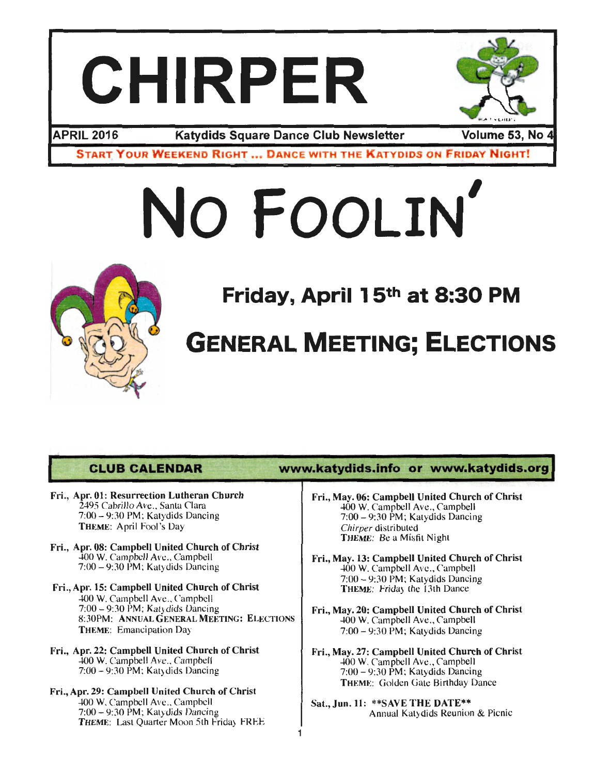## **CHIRPER**



**APRIL 2016 Katydids Square Dance Club Newsletter** 

Volume 53, No 4

**START YOUR WEEKEND RIGHT ... DANCE WITH THE KATYDIDS ON FRIDAY NIGHT!** 

# **No FOOLIN'**



**Friday, April 1 5th at 8:30 PM** 

## **GENERAL MEETING; ELECTIONS**

- Fri., Apr. 01: Resurrection Lutheran Church 2495 Cabrillo Ave., Santa Clara 7:00 - 9:30 PM; Katydids Dancing THEME: April Fool 's Day
- Fri., Apr. 08: Campbell United Church of Christ 400 W. Campbell Ave., Campbell 7:00 -9:30 PM; Katydids Dancing
- Fri., Apr. 15: Campbell United Church of Christ 400 W. Campbell Ave., Campbell 7:00-9:30 PM ; Katydids Dancing 8:30PM: ANNUAL GENERAL MEETING: ELECTIONS THEME: Emancipation Day
- Fri., Apr. 22: Campbell United Church of Christ 400 W. Campbell Ave., Campbell 7:00 -9:30 PM; Katydids Dancing
- Fri., Apr. 29: Campbell United Church of Christ 400 W. Campbell Ave., Campbell 7:00-9:30 PM ; Katydids Dancing THEME: Last Quarter Moon 5th Friday FREE

### **CLUB CALENDAR www.katydids.info or www.katydids.org**

- Fri., May. 06: Campbell United Church of Christ 400 W. Campbell Ave., Campbell 7:00-9:30 PM; Katydids Dancing **Chirper** distributed THEME: Be a Misfit Night
- Fri., May. 13: Campbell United Church of Christ 400 W. Campbell Ave., Campbell 7:00-9:30 PM ; Katydids Dancing THEME: Friday the 13th Dance
- Fri., May. 20: Campbell United Church of Christ 400 W. ampbell Ave., ampbell  $7:00-9:30$  PM; Katydids Dancing
- Fri., May. 27: Campbell United Church of Christ 400 W. Campbell Ave., Campbell 7:00-9:30 PM ; Katydids Dancing THEME: Golden Gate Birthday Dance
- Sat., Jun. 11: \*\* SAVE THE DATE\*\* Annual Katydids Reunion & Picnic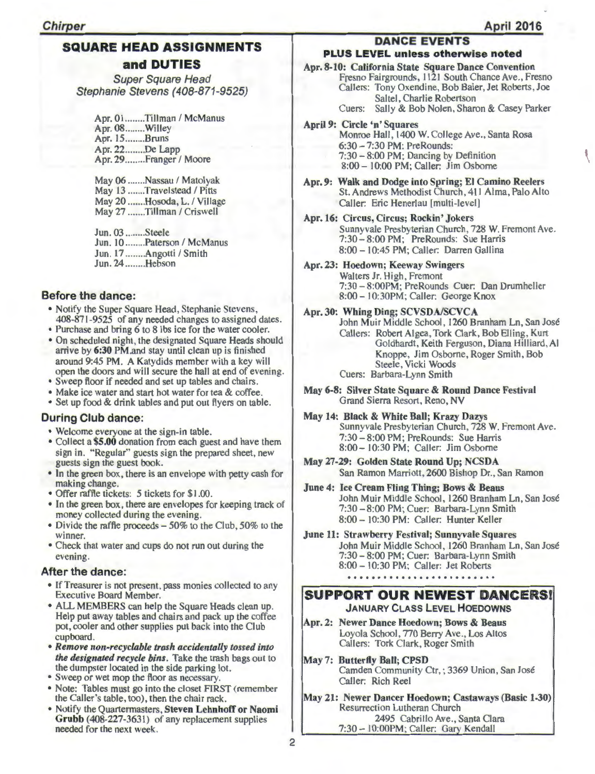### SQUARE HEAD ASSIGNMENTS and DUTIES

Super Square Head Stephanie Stevens (408-871-9525)

Apr. 01........Tillman / McManus Apr. 08 ........ Willey Apr. 15 ........ Bruns Apr. 22 ........ De Lapp Apr. 29 ........ Franger / Moore

May 06 .......Nassau / Matolyak May 13 .......Travelstead / Pitts May 20 .......Hosoda, L. / Village May 27 .......Tillman / Criswell

Jun . 03 ........ Steele Jun. 10 ........ Paterson / McManus Jun. 17 ........Angotti / Smith Jun. 24 ........ Hebson

### Before the dance:

- Notify the Super Square Head, Stephanie Stevens, 408-871-9525 of any needed changes to assigned dates.
- Purchase and bring 6 to 8 lbs ice for the water cooler.
- On scheduled night, the designated Square Heads should arrive by 6:30 PM.and stay until clean up is finished around 9:45 PM. A Katydids member with a key will open the doors and will secure the hall at end of evening.
- Sweep floor if needed and set up tables and chairs.
- Make ice water and start hot water for tea & coffee.
- Set up food & drink tables and put out flyers on table.

### During Club dance:

- Welcome everyone at the sign-in table.
- Collect a \$5.00 donation from each guest and have them sign in. "Regular" guests sign the prepared sheet, new guests sign the guest book.
- In the green box, there is an envelope with petty cash for making change.
- Offer raffle tickets: 5 tickets for \$1 .00.
- In the green box, there are envelopes for keeping track of money collected during the evening.
- Divide the raffle proceeds 50% to the Club, 50% to the winner.
- Check that water and cups do not run out during the evening.

### After the dance:

- If Treasurer is not present, pass monies collected to any Executive Board Member.
- ALL MEMBERS can help the Square Heads clean up. Help put away tables and chairs and pack up the coffee pot, cooler and other supplies put back into the Club cupboard.
- *Remove non-recyclable trash accidentally tossed into the designated recycle bins.* Take the trash bags out to the dumpster located in the side parking lot.
- Sweep or wet mop the floor as necessary.
- Note: Tables must go into the closet FIRST (remember the Caller's table, too), then the chair rack.
- Notify the Quartermasters, Steven Lehnhoff or Naomi Grubb (408-227-3631) of any replacement supplies needed for the next week.

### DANCE EVENTS

### PLUS LEVEL unless otherwise noted

Apr. 8-10: California State Square Dance Convention Fresno Fairgrounds, 1121 South Chance Ave., Fresno Callers: Tony Oxendine, Bob Baier, Jet Roberts, Joe Saltel, Charlie Robertson Cuers: Sally & Bob Nolen, Sharon & Casey Parker

- April 9: Circle 'n' Squares Monroe Hall, 1400 W. College Ave., Santa Rosa 6:30-7:30 PM: PreRounds: 7:30- 8:00 PM; Dancing by Definition
	- 8:00- 10:00 PM; Caller: Jim Osborne
- Apr. 9: Walk and Dodge into Spring; El Camino Reelers St. Andrews Methodist Church, 411 Alma, Palo Alto Caller: Eric Henerlau [multi-level]
- Apr. 16: Circus, Circus; Rockin' Jokers Sunnyvale Presbyterian Church, 728 W. Fremont Ave . 7:30- 8:00PM; PreRounds: Sue Harris 8:00- 10:45 PM ; Caller: Darren Gallina
- Apr. 23: Hoedown; Keeway Swingers Walters Jr. High, Fremont 7:30- 8:00PM; PreRounds Cuer: Dan Drumheller 8:00- l0:30PM; Caller: George Knox

#### Apr. 30: Whing Ding; SCVSDA/SCVCA

John Muir Middle School, 1260 Branham Ln, San Jose Callers: Robert Algea, Tork Clark, Bob Elling, Kurt Goldhardt, Keith Ferguson, Diana Hilliard, Al Knoppe, Jim Osborne, Roger Smith, Bob Steele, Vicki Woods Cuers: Barbara-Lynn Smith

- May 6-8: Silver State Square & Round Dance Festival Grand Sierra Resort, Reno, NV
- May 14: Black & White Ball; Krazy Dazys Sunnyvale Presbyterian Church, 728 W. Fremont Ave. 7:30-8:00 PM ; PreRounds: Sue Harris 8:00- 10:30 PM; Caller: Jim Osborne
- May 27-29: Golden State Round Up; NCSDA San Ramon Marriott, 2600 Bishop Dr., San Ramon
- June 4: Ice Cream Fling Thing; Bows & Beaus John Muir Middle School, 1260 Branham Ln, San José 7:30-8:00 PM; Cuer: Barbara-Lynn Smith 8:00 - 10:30 PM: Caller: Hunter Keller
- June 11: Strawberry Festival; Sunnyvale Squares John Muir Middle School, 1260 Branham Ln, San José 7:30-8:00 PM; Cuer: Barbara-Lynn Smith 8:00 - 10:30 PM; Caller: Jet Roberts

### 

### SUPPORT OUR NEWEST DANCERS! JANUARY CLASS LEVEL HOEDOWNS

- Apr. 2: Newer Dance Hoedown; Bows & Beaus Loyola School, 770 Berry Ave., Los Altos Callers: Tork Clark, Roger Smith
- May 7: Butterfly Ball; CPSD Camden Community Ctr, ; 3369 Union, San José Caller: Rich Reel
- May 21: Newer Dancer Hoedown; Castaways (Basic 1-30) Resurrection Lutheran Church 2495 Cabrillo Ave., Santa Clara 7:30 - 10:00PM; Caller: Gary Kendall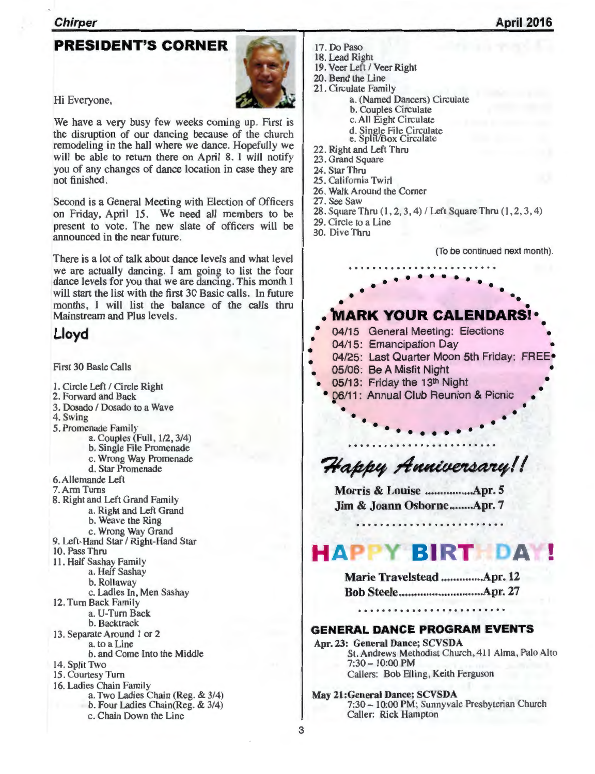#### **Chirper**

### PRESIDENT'S CORNER



Hi Everyone,

We have a very busy few weeks coming up. First is the disruption of our dancing because of the church remodeling in the hall where we dance. Hopefully we will be able to return there on April 8. I will notify you of any changes of dance location in case they are not finished.

Second is a General Meeting with Election of Officers on Friday, April 15. We need all members to be present to vote. The new slate of officers will be announced in the near future.

There is a lot of talk about dance levels and what level we are actually dancing. I am going to list the four dance levels for you that we are dancing. This month I will start the list with the first 30 Basic calls. In future months, I will list the balance of the calls thru Mainstream and Plus levels.

### Lloyd

First 30 Basic Calls 1. Circle Left / Circle Right 2. Forward and Back 3. Dosado / Dosado to a Wave 4. Swing 5. Promenade Family a. Couples (Full, 1/2, 3/4) b. Single File Promenade c. Wrong Way Promenade d. Star Promenade 6. Allemande Left 7. Arm Turns 8. Right and Left Grand Family a. Right and Left Grand b. Weave the Ring c. Wrong Way Grand 9. Left-Hand Star / Right-Hand Star 10. Pass Thru 11 . Half Sashay Family a. Half Sashay b. Rollaway c. Ladies In, Men Sashay 12. Turn Back Family a. U-Turn Back b. Backtrack 13 . Separate Around I or 2 a. to a Line b. and Come Into the Middle 14. Split Two 15. Courtesy Turn 16. Ladies Chain Family a. Two Ladies Chain (Reg. & 314) b. Four Ladies Chain(Reg. & 314) c. Chain Down the Line

- 17. Do Paso 18. Lead Right
- 19. Veer Left / Veer Right
- 20. Bend the Line
- 21 . Circulate Family
	- a. (Named Dancers) Circulate
	- b. Couples Circulate
	- c. All Eight Circulate
	- d. Single File Circulate<br>e. Split/Box Circulate
	-
- 22. Right and Left Thru
- 23. Grand Square
- 24. Star Thru
- 25. California Twirl
- 26. Walk Around the Corner
- 27. See Saw
- 28. Square Thru  $(1, 2, 3, 4)$  / Left Square Thru  $(1, 2, 3, 4)$
- 29. Circle to a Line
- 30. Dive Thru

(To be continued next month).

• •

• •

### • • • MARK YOUR CALENDARS!

• • • • • • • • • • • • • • ••

- 04/15 General Meeting: Elections
- 04/15: Emancipation Day
- 04/25: Last Quarter Moon 5th Friday: FREE

• • • • • • • • • • •

- 05/06: Be A Misfit Night
- 05/13: Friday the 13<sup>th</sup> Night
- 06/11 : Annual Club Reunion & Picnic • • • •

### Happy Anniversary!!

Morris & Louise ................ Apr. 5 Jim & Joann Osborne ........ Apr. 7

#### **HAPPY BIRT DA** I •

| Marie Travelstead Apr. 12 |  |
|---------------------------|--|
|                           |  |

### .........................

### GENERAL DANCE PROGRAM EVENTS

Apr. 23: General Dance; SCVSDA St. Andrews Methodist Church, 411 Alma, Palo Alto 7:30- I 0:00 PM Callers: Bob Elling, Keith Ferguson

May 21:General Dance; SCVSDA 7:30 - 10:00 PM; Sunnyvale Presbyterian Church Caller: Rick Hampton

3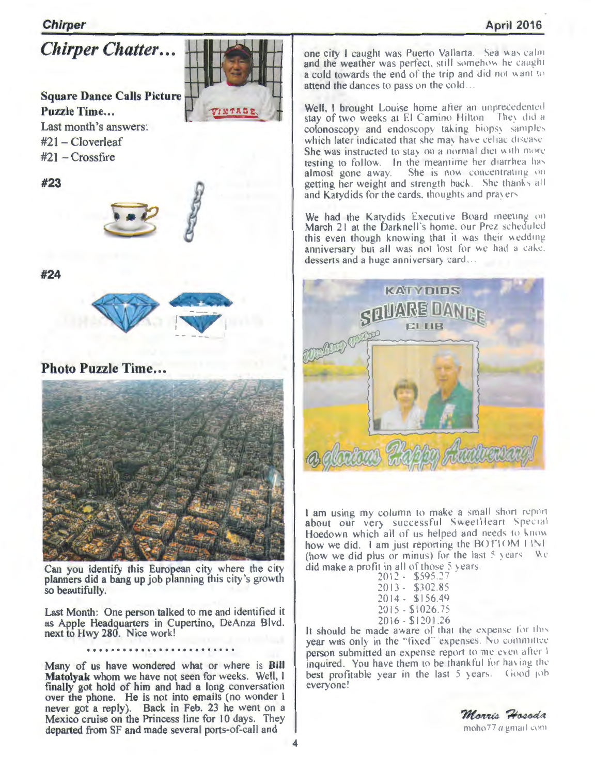### **Chirper**

*Chirper Chatter ...* 

### **Square Dance Calls Picture**  Puzzle Time...

TINTADE

Last month's answers: #21 - Cloverleaf  $#21 - Crossfire$ 

**#23** 



**#24** 



**Photo Puzzle Time...** 



Can you identify this European city where the city planners did a bang up job planning this city 's growth so beautifully.

Last Month: One person talked to me and identified it as Apple Headquarters in Cupertino, DeAnza Blvd. next to Hwy 280. Nice work!

### .........................

Many of us have wondered what or where is **Bill Matolyak** whom we have not seen for weeks. Well, I finally got hold of him and had a long conversation over the phone. He is not into emails (no wonder I never got a reply). Back in Feb. 23 he went on a Mexico cruise on the Princess line for 10 days. They departed from SF and made several ports-of-call and

one city I caught was Puerto Vallarta. Sea was calm and the weather was perfect, still somehow he caught a cold towards the end of the trip and did not want to attend the dances to pass on the cold...

Well, I brought Louise home after an unprecedented stay of two weeks at El Camino Hilton They did a colonoscopy and endoscopy taking biopsy samples which later indicated that she may have cellac disease She was instructed to stay on a normal diet with more testing to follow. In the meantime her diarrhea has almost gone away. She is now concentrating on getting her weight and strength back. She thanks all and Katydids for the cards, thoughts and prayers

We had the Katydids Executive Board meeting on March 21 at the Darknell's home. our Prez scheduled this even though knowing that it was their wedding anniversary but all was not lost for we had a cake. desserts and a huge anniversary card...



I am using my column to make a small short report about our very successful SweetHeart Special Hoedown which all of us helped and needs to know how we did. 1 am just reporting the  $BOTIOMIINI$ (how we did plus or minus) for the last  $\frac{1}{2}$  years. We did make a profit in all of those  $5$  years.

| $2012 -$ | \$595.27          |
|----------|-------------------|
| $2013 -$ | \$302.85          |
| 2014 -   | \$156.49          |
|          | $2015 - $1026.75$ |
|          | $2016 - $1201.26$ |

It should be made aware of that the expense for this year was only in the "fixed" expenses. No committee person submitted an expense report to me even after I inquired. You have them to be thankful for having the best profitable year in the last 5 years. Good job everyone'

Morris Hosoda moho77 *a* gmail com-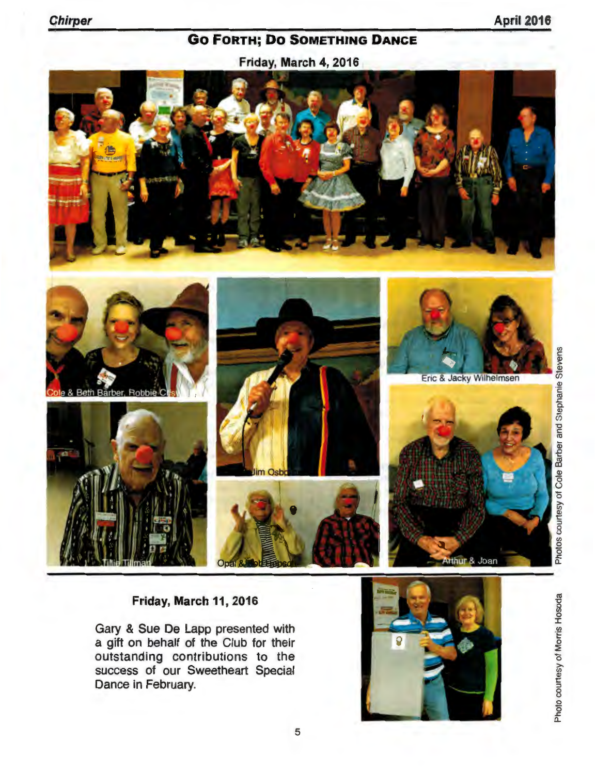### **April 2016**

### **GO FORTH; DO SOMETHING DANCE**

Friday, March 4, 2016



### Friday, March 11, 2016

Gary & Sue De Lapp presented with a gift on behalf of the Club for their outstanding contributions to the success of our Sweetheart Special Dance in February.

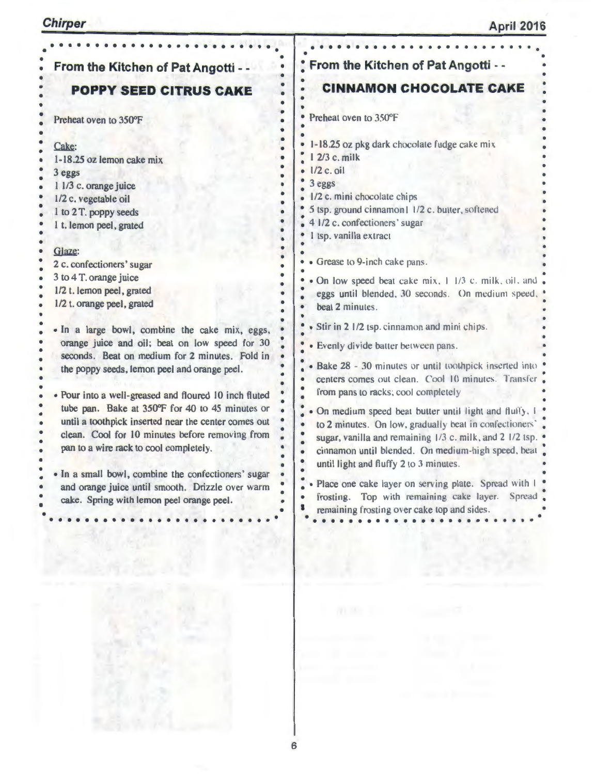| From the Kitchen of Pat Angotti - -                                                                                                                                                                                                                                                                                                                                                                                                                                                                                                                                                                                                                                                                                                                                                                                                                                                                          | From the Kitchen of Pat Angotti - -                                                                                                                                                                                                                                                                                                                                                                                                                                                                                                                                                                                                                                                                                                                                                                                                                                                                                                                                                                                                                                                                                 |
|--------------------------------------------------------------------------------------------------------------------------------------------------------------------------------------------------------------------------------------------------------------------------------------------------------------------------------------------------------------------------------------------------------------------------------------------------------------------------------------------------------------------------------------------------------------------------------------------------------------------------------------------------------------------------------------------------------------------------------------------------------------------------------------------------------------------------------------------------------------------------------------------------------------|---------------------------------------------------------------------------------------------------------------------------------------------------------------------------------------------------------------------------------------------------------------------------------------------------------------------------------------------------------------------------------------------------------------------------------------------------------------------------------------------------------------------------------------------------------------------------------------------------------------------------------------------------------------------------------------------------------------------------------------------------------------------------------------------------------------------------------------------------------------------------------------------------------------------------------------------------------------------------------------------------------------------------------------------------------------------------------------------------------------------|
| <b>POPPY SEED CITRUS CAKE</b>                                                                                                                                                                                                                                                                                                                                                                                                                                                                                                                                                                                                                                                                                                                                                                                                                                                                                | <b>CINNAMON CHOCOLATE CAKE</b>                                                                                                                                                                                                                                                                                                                                                                                                                                                                                                                                                                                                                                                                                                                                                                                                                                                                                                                                                                                                                                                                                      |
| Preheat oven to 350°F                                                                                                                                                                                                                                                                                                                                                                                                                                                                                                                                                                                                                                                                                                                                                                                                                                                                                        | Preheat oven to 350°F<br>$\bullet$                                                                                                                                                                                                                                                                                                                                                                                                                                                                                                                                                                                                                                                                                                                                                                                                                                                                                                                                                                                                                                                                                  |
| Cake:<br>1-18.25 oz lemon cake mix<br>3 eggs<br>1 1/3 c. orange juice<br>1/2 c. vegetable oil<br>1 to 2 T. poppy seeds<br>1 t. lemon peel, grated<br>Glaze:<br>2 c. confectioners' sugar<br>3 to 4 T. orange juice<br>1/2 t. lemon peel, grated<br>1/2 t. orange peel, grated<br>. In a large bowl, combine the cake mix, eggs,<br>orange juice and oil; beat on low speed for 30<br>seconds. Beat on medium for 2 minutes. Fold in<br>the poppy seeds, lemon peel and orange peel.<br>• Pour into a well-greased and floured 10 inch fluted<br>tube pan. Bake at 350°F for 40 to 45 minutes or<br>until a toothpick inserted near the center comes out<br>clean. Cool for 10 minutes before removing from<br>pan to a wire rack to cool completely.<br>. In a small bowl, combine the confectioners' sugar<br>and orange juice until smooth. Drizzle over warm<br>cake. Spring with lemon peel orange peel. | 1-18.25 oz pkg dark chocolate fudge cake mix<br>1 2/3 c. milk<br>$\bullet$ 1/2 c. oil<br>3 eggs<br>1/2 c. mini chocolate chips<br>5 tsp. ground cinnamon1 1/2 c. butter, softened<br>4 1/2 c. confectioners' sugar<br>I tsp. vanilla extract<br>• Grease to 9-inch cake pans.<br>· On low speed beat cake mix, 1 1/3 c. milk, oil, and .<br>eggs until blended, 30 seconds. On medium speed,<br>beat 2 minutes.<br>· Stir in 2 1/2 tsp. cinnamon and mini chips.<br>· Evenly divide batter between pans.<br>· Bake 28 - 30 minutes or until toothpick inserted into<br>centers comes out clean. Cool 10 minutes. Transfer<br>from pans to racks; cool completely<br>. On medium speed beat butter until light and fluffy, I<br>to 2 minutes. On low, gradually beat in confectioners'<br>sugar, vanilla and remaining 1/3 c. milk, and 2 1/2 tsp.<br>cinnamon until blended. On medium-high speed, beat<br>until light and fluffy 2 to 3 minutes.<br>Place one cake layer on serving plate. Spread with I<br>Top with remaining cake layer.<br>Spread .<br>frosting.<br>remaining frosting over cake top and sides. |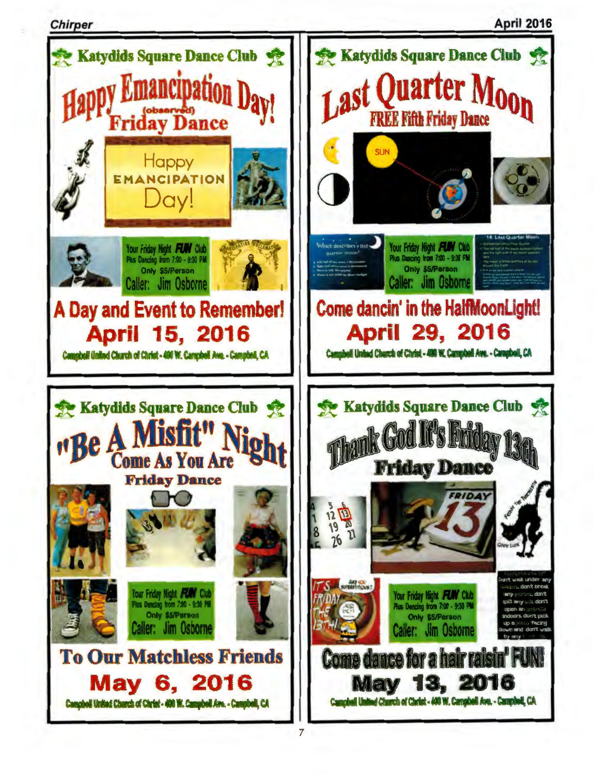**April 2016** 

**Chirper**